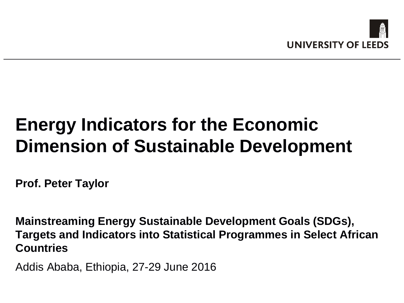

# **Energy Indicators for the Economic Dimension of Sustainable Development**

**Prof. Peter Taylor**

**Mainstreaming Energy Sustainable Development Goals (SDGs), Targets and Indicators into Statistical Programmes in Select African Countries**

Addis Ababa, Ethiopia, 27-29 June 2016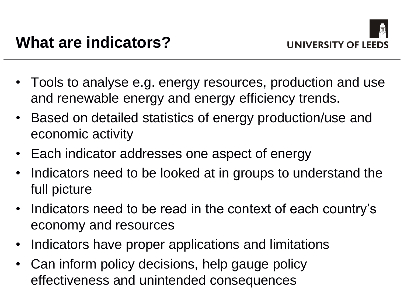- Tools to analyse e.g. energy resources, production and use and renewable energy and energy efficiency trends.
- Based on detailed statistics of energy production/use and economic activity
- Each indicator addresses one aspect of energy
- Indicators need to be looked at in groups to understand the full picture
- Indicators need to be read in the context of each country's economy and resources
- Indicators have proper applications and limitations
- Can inform policy decisions, help gauge policy effectiveness and unintended consequences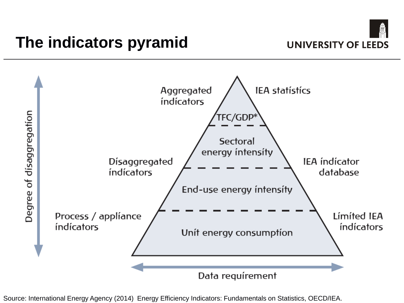



Source: International Energy Agency (2014) Energy Efficiency Indicators: Fundamentals on Statistics, OECD/IEA.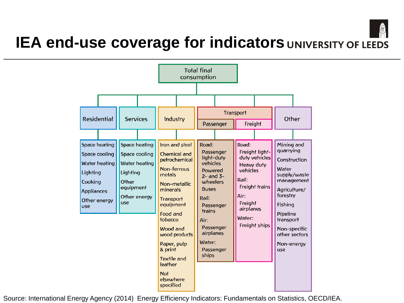

### **IEA end-use coverage for indicators UNIVERSITY OF LEEDS**



Source: International Energy Agency (2014) Energy Efficiency Indicators: Fundamentals on Statistics, OECD/IEA.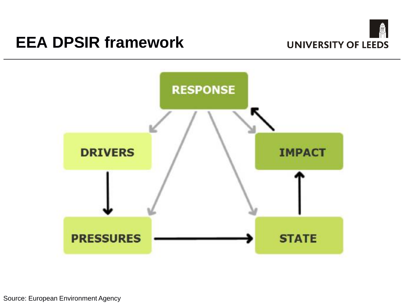### **EEA DPSIR framework**





Source: European Environment Agency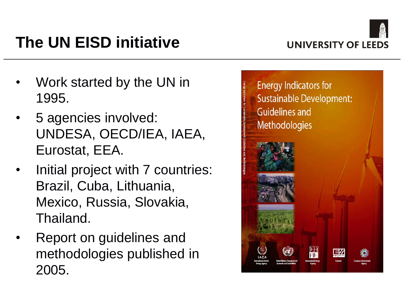

# **The UN EISD initiative**

- Work started by the UN in 1995.
- 5 agencies involved: UNDESA, OECD/IEA, IAEA, Eurostat, EEA.
- Initial project with 7 countries: Brazil, Cuba, Lithuania, Mexico, Russia, Slovakia, Thailand.
- Report on guidelines and methodologies published in 2005.

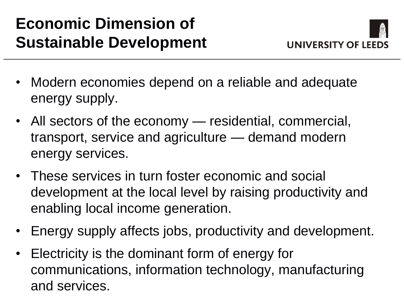### **Economic Dimension of Sustainable Development**



- Modern economies depend on a reliable and adequate energy supply.
- All sectors of the economy residential, commercial, transport, service and agriculture — demand modern energy services.
- These services in turn foster economic and social development at the local level by raising productivity and enabling local income generation.
- Energy supply affects jobs, productivity and development.
- Electricity is the dominant form of energy for communications, information technology, manufacturing and services.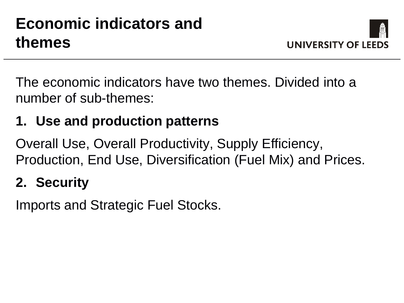## **Economic indicators and themes**



The economic indicators have two themes. Divided into a number of sub-themes:

### **1. Use and production patterns**

Overall Use, Overall Productivity, Supply Efficiency, Production, End Use, Diversification (Fuel Mix) and Prices.

#### **2. Security**

Imports and Strategic Fuel Stocks.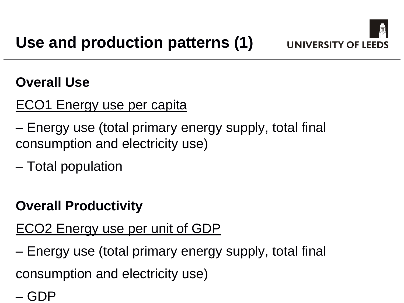

#### **Overall Use**

### ECO1 Energy use per capita

- Energy use (total primary energy supply, total final consumption and electricity use)
- Total population

#### **Overall Productivity**

### ECO2 Energy use per unit of GDP

– Energy use (total primary energy supply, total final consumption and electricity use)

– GDP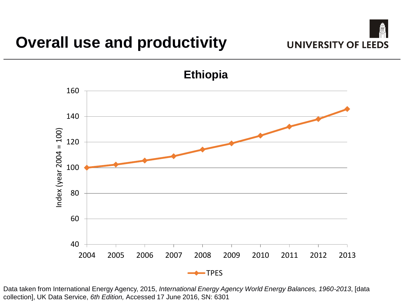

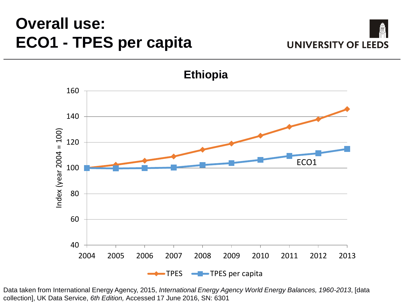### **Overall use: ECO1 - TPES per capita**



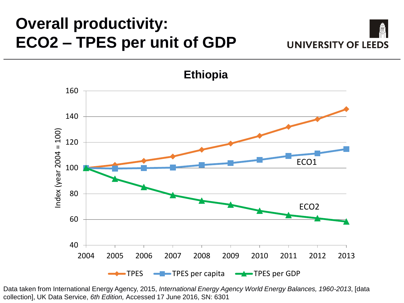### **Overall productivity: ECO2 – TPES per unit of GDP**



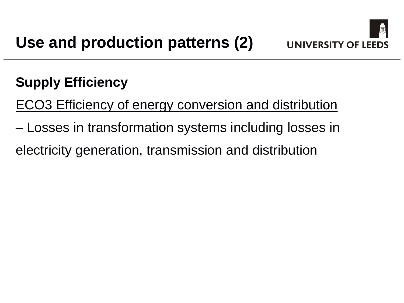

### **Supply Efficiency**

ECO3 Efficiency of energy conversion and distribution

– Losses in transformation systems including losses in

electricity generation, transmission and distribution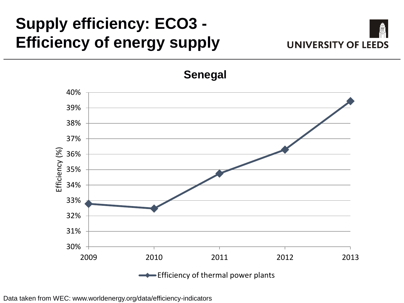## **Supply efficiency: ECO3 - Efficiency of energy supply**





**Senegal**

Data taken from WEC: www.worldenergy.org/data/efficiency-indicators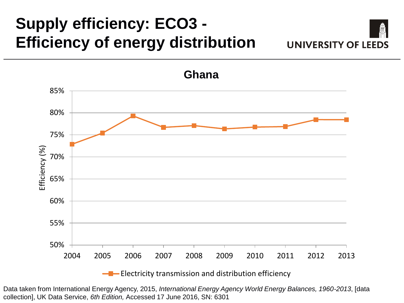## **Supply efficiency: ECO3 - Efficiency of energy distribution**





Data taken from International Energy Agency, 2015, *International Energy Agency World Energy Balances, 1960-2013*, [data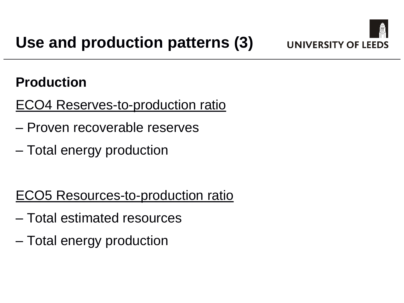

### **Production**

ECO4 Reserves-to-production ratio

- Proven recoverable reserves
- Total energy production

### ECO5 Resources-to-production ratio

- Total estimated resources
- Total energy production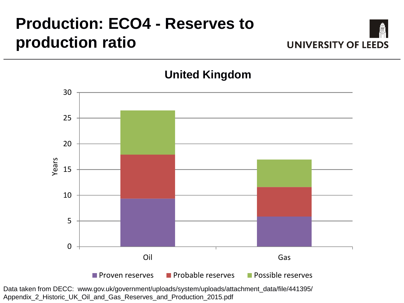## **Production: ECO4 - Reserves to production ratio**



**United Kingdom**



Data taken from DECC: www.gov.uk/government/uploads/system/uploads/attachment\_data/file/441395/ Appendix\_2\_Historic\_UK\_Oil\_and\_Gas\_Reserves\_and\_Production\_2015.pdf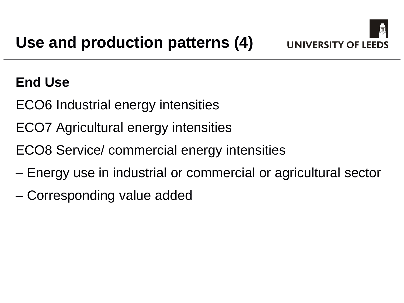

### **End Use**

- ECO6 Industrial energy intensities
- ECO7 Agricultural energy intensities
- ECO8 Service/ commercial energy intensities
- Energy use in industrial or commercial or agricultural sector
- Corresponding value added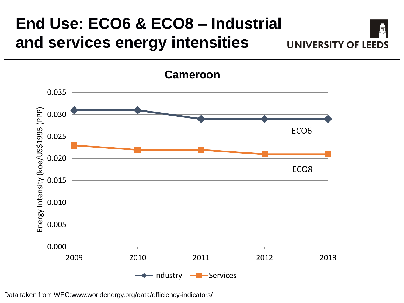#### **End Use: ECO6 & ECO8 – Industrial and services energy intensities UNIVERSITY OF LEEDS**

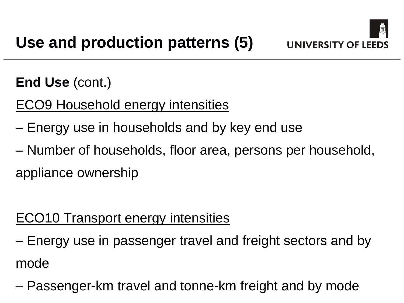

**End Use** (cont.)

ECO9 Household energy intensities

- Energy use in households and by key end use
- Number of households, floor area, persons per household, appliance ownership

#### ECO10 Transport energy intensities

– Energy use in passenger travel and freight sectors and by mode

– Passenger-km travel and tonne-km freight and by mode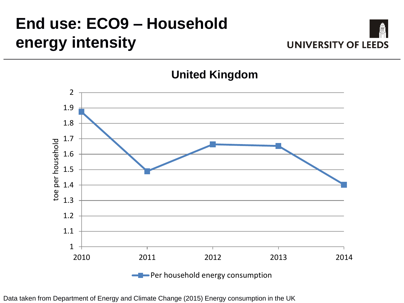## **End use: ECO9 – Household energy intensity**



2 1.9 1.8 1.7 toe per household toe per household 1.6 1.5 1.4 1.3 1.2 1.1 1 2010 2011 2012 2013 2014 **-**Per household energy consumption

#### **United Kingdom**

Data taken from Department of Energy and Climate Change (2015) Energy consumption in the UK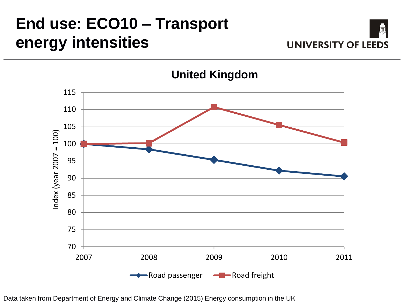## **End use: ECO10 – Transport energy intensities**





**United Kingdom**

Data taken from Department of Energy and Climate Change (2015) Energy consumption in the UK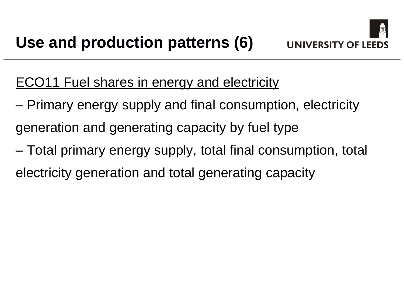#### ECO11 Fuel shares in energy and electricity

- Primary energy supply and final consumption, electricity generation and generating capacity by fuel type
- Total primary energy supply, total final consumption, total electricity generation and total generating capacity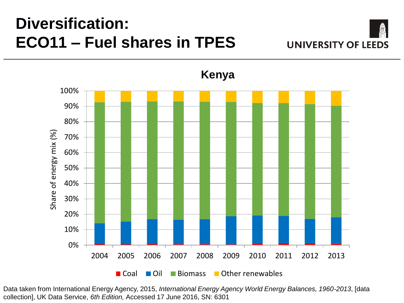### **Diversification: ECO11 – Fuel shares in TPES**





**Kenya**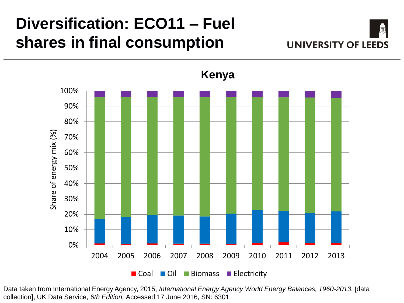### **Diversification: ECO11 – Fuel shares in final consumption**





Data taken from International Energy Agency, 2015, *International Energy Agency World Energy Balances, 1960-2013*, [data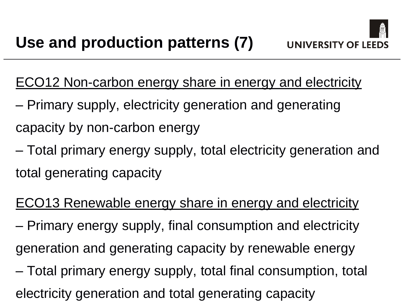ECO12 Non-carbon energy share in energy and electricity

- Primary supply, electricity generation and generating capacity by non-carbon energy
- Total primary energy supply, total electricity generation and total generating capacity
- ECO13 Renewable energy share in energy and electricity – Primary energy supply, final consumption and electricity generation and generating capacity by renewable energy
- Total primary energy supply, total final consumption, total electricity generation and total generating capacity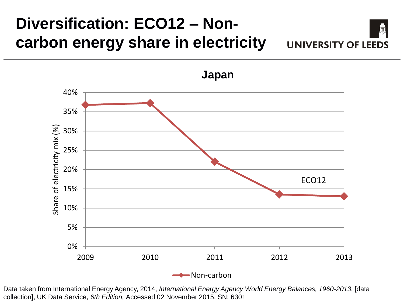#### **Diversification: ECO12 – Noncarbon energy share in electricity UNIVERSITY OF LEEDS**

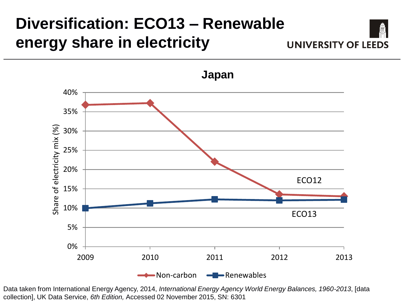#### **Diversification: ECO13 – Renewable energy share in electricity UNIVERSITY OF LEEDS**

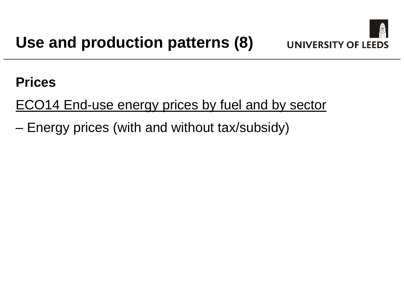

#### **Prices**

ECO14 End-use energy prices by fuel and by sector

– Energy prices (with and without tax/subsidy)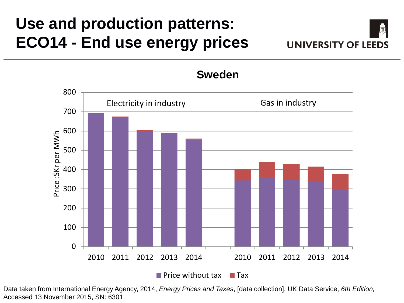### **Use and production patterns: ECO14 - End use energy prices**





Data taken from International Energy Agency, 2014, *Energy Prices and Taxes*, [data collection], UK Data Service, *6th Edition,*  Accessed 13 November 2015, SN: 6301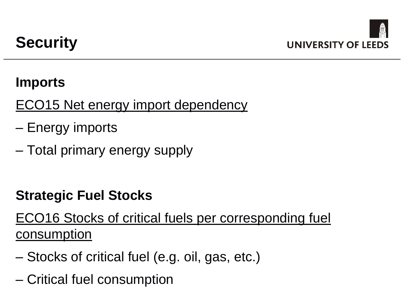#### **Imports**

ECO15 Net energy import dependency

- Energy imports
- Total primary energy supply

#### **Strategic Fuel Stocks**

ECO16 Stocks of critical fuels per corresponding fuel consumption

- Stocks of critical fuel (e.g. oil, gas, etc.)
- Critical fuel consumption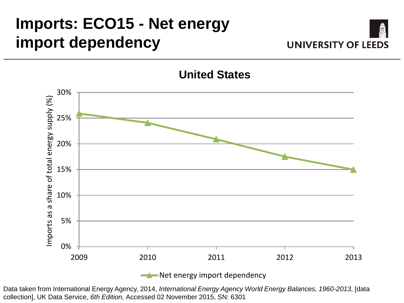### **Imports: ECO15 - Net energy import dependency**





#### **United States**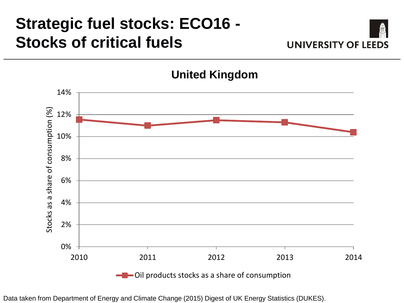## **Strategic fuel stocks: ECO16 - Stocks of critical fuels**





**United Kingdom**

Data taken from Department of Energy and Climate Change (2015) Digest of UK Energy Statistics (DUKES).